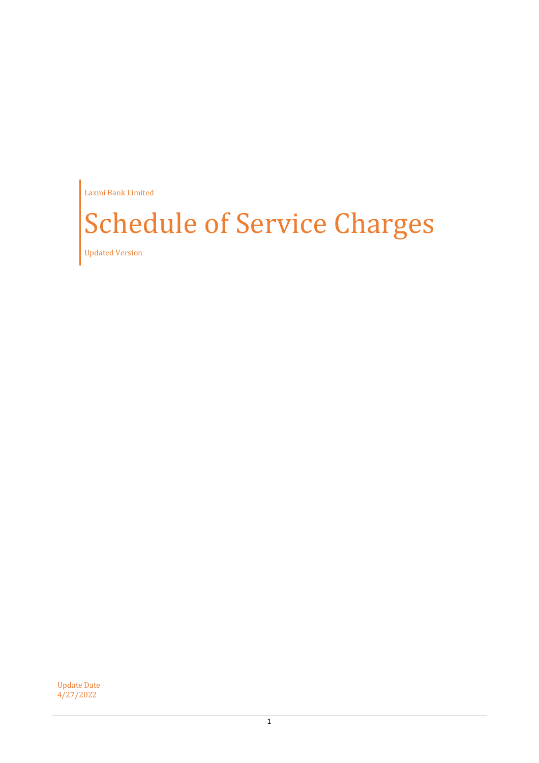Laxmi Bank Limited

# Schedule of Service Charges

Updated Version

Update Date 4/27/2022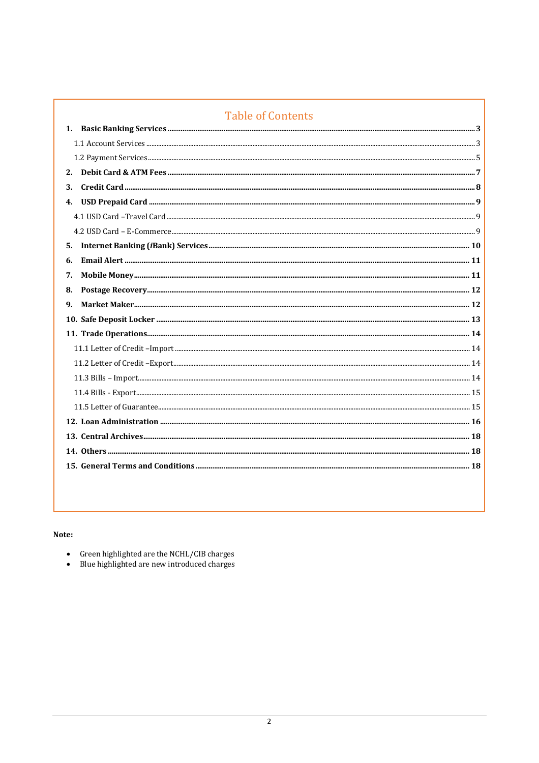| <b>Table of Contents</b> |
|--------------------------|
| 1.                       |
|                          |
|                          |
|                          |
| 3.                       |
| 4.                       |
|                          |
|                          |
| 5.                       |
| 6.                       |
| 7.                       |
| 8.                       |
| 9.                       |
|                          |
|                          |
|                          |
|                          |
|                          |
|                          |
|                          |
|                          |
|                          |
|                          |
|                          |
|                          |

## Note:

- 
- Green highlighted are the NCHL/CIB charges<br>• Blue highlighted are new introduced charges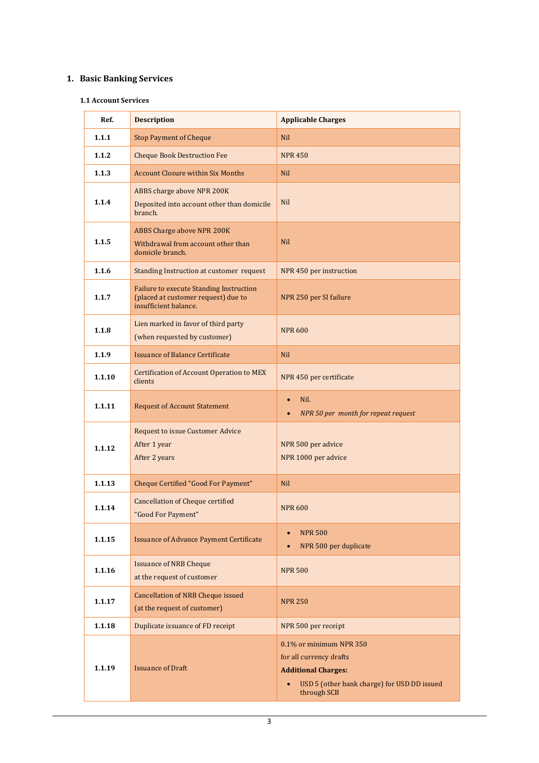# <span id="page-2-1"></span><span id="page-2-0"></span>**1. Basic Banking Services**

#### **1.1 Account Services**

| Ref.   | <b>Description</b>                                                                                             | <b>Applicable Charges</b>                                                                                                                                   |
|--------|----------------------------------------------------------------------------------------------------------------|-------------------------------------------------------------------------------------------------------------------------------------------------------------|
| 1.1.1  | <b>Stop Payment of Cheque</b>                                                                                  | <b>Nil</b>                                                                                                                                                  |
| 1.1.2  | <b>Cheque Book Destruction Fee</b>                                                                             | <b>NPR 450</b>                                                                                                                                              |
| 1.1.3  | <b>Account Closure within Six Months</b>                                                                       | <b>Nil</b>                                                                                                                                                  |
| 1.1.4  | ABBS charge above NPR 200K<br>Deposited into account other than domicile<br>branch.                            | <b>Nil</b>                                                                                                                                                  |
| 1.1.5  | <b>ABBS Charge above NPR 200K</b><br>Withdrawal from account other than<br>domicile branch.                    | <b>Nil</b>                                                                                                                                                  |
| 1.1.6  | Standing Instruction at customer request                                                                       | NPR 450 per instruction                                                                                                                                     |
| 1.1.7  | <b>Failure to execute Standing Instruction</b><br>(placed at customer request) due to<br>insufficient balance. | NPR 250 per SI failure                                                                                                                                      |
| 1.1.8  | Lien marked in favor of third party<br>(when requested by customer)                                            | <b>NPR 600</b>                                                                                                                                              |
| 1.1.9  | <b>Issuance of Balance Certificate</b>                                                                         | <b>Nil</b>                                                                                                                                                  |
| 1.1.10 | <b>Certification of Account Operation to MEX</b><br>clients                                                    | NPR 450 per certificate                                                                                                                                     |
| 1.1.11 | <b>Request of Account Statement</b>                                                                            | Nil.<br>$\bullet$<br>NPR 50 per month for repeat request<br>$\bullet$                                                                                       |
| 1.1.12 | <b>Request to issue Customer Advice</b><br>After 1 year<br>After 2 years                                       | NPR 500 per advice<br>NPR 1000 per advice                                                                                                                   |
| 1.1.13 | <b>Cheque Certified "Good For Payment"</b>                                                                     | <b>Nil</b>                                                                                                                                                  |
| 1.1.14 | <b>Cancellation of Cheque certified</b><br>"Good For Payment"                                                  | <b>NPR 600</b>                                                                                                                                              |
| 1.1.15 | <b>Issuance of Advance Payment Certificate</b>                                                                 | <b>NPR 500</b><br>$\bullet$<br>NPR 500 per duplicate<br>$\bullet$                                                                                           |
| 1.1.16 | <b>Issuance of NRB Cheque</b><br>at the request of customer                                                    | <b>NPR 500</b>                                                                                                                                              |
| 1.1.17 | <b>Cancellation of NRB Cheque issued</b><br>(at the request of customer)                                       | <b>NPR 250</b>                                                                                                                                              |
| 1.1.18 | Duplicate issuance of FD receipt                                                                               | NPR 500 per receipt                                                                                                                                         |
| 1.1.19 | <b>Issuance of Draft</b>                                                                                       | 0.1% or minimum NPR 350<br>for all currency drafts<br><b>Additional Charges:</b><br>USD 5 (other bank charge) for USD DD issued<br>$\bullet$<br>through SCB |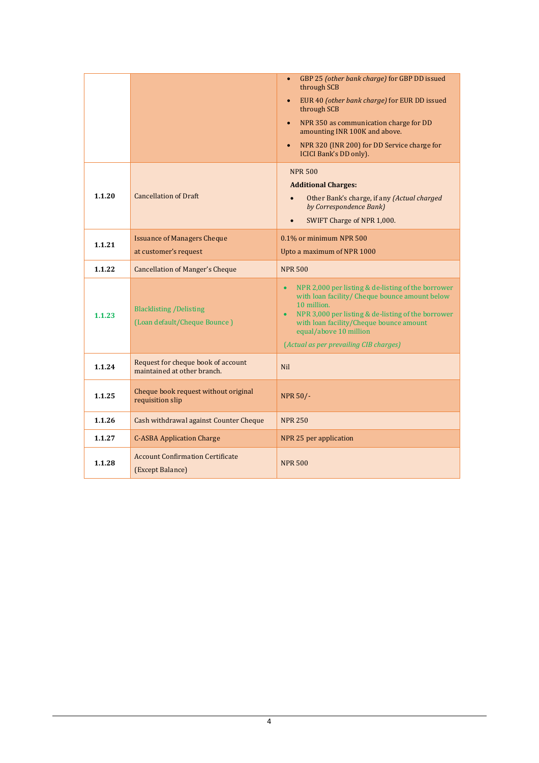|        |                                                                   | GBP 25 (other bank charge) for GBP DD issued<br>$\bullet$<br>through SCB<br>EUR 40 (other bank charge) for EUR DD issued<br>$\bullet$<br>through SCB<br>NPR 350 as communication charge for DD<br>$\bullet$<br>amounting INR 100K and above.<br>NPR 320 (INR 200) for DD Service charge for<br>$\bullet$<br><b>ICICI Bank's DD only).</b> |
|--------|-------------------------------------------------------------------|-------------------------------------------------------------------------------------------------------------------------------------------------------------------------------------------------------------------------------------------------------------------------------------------------------------------------------------------|
| 1.1.20 | <b>Cancellation of Draft</b>                                      | <b>NPR 500</b><br><b>Additional Charges:</b><br>Other Bank's charge, if any (Actual charged<br>by Correspondence Bank)<br>SWIFT Charge of NPR 1,000.<br>$\bullet$                                                                                                                                                                         |
| 1.1.21 | <b>Issuance of Managers Cheque</b>                                | 0.1% or minimum NPR 500                                                                                                                                                                                                                                                                                                                   |
|        | at customer's request                                             | Upto a maximum of NPR 1000                                                                                                                                                                                                                                                                                                                |
| 1.1.22 | <b>Cancellation of Manger's Cheque</b>                            | <b>NPR 500</b>                                                                                                                                                                                                                                                                                                                            |
| 1.1.23 | <b>Blacklisting / Delisting</b><br>(Loan default/Cheque Bounce)   | NPR 2,000 per listing & de-listing of the borrower<br>with loan facility/ Cheque bounce amount below<br>10 million.<br>NPR 3,000 per listing & de-listing of the borrower<br>with loan facility/Cheque bounce amount<br>equal/above 10 million<br>(Actual as per prevailing CIB charges)                                                  |
| 1.1.24 | Request for cheque book of account<br>maintained at other branch. | <b>Nil</b>                                                                                                                                                                                                                                                                                                                                |
|        | Cheque book request without original                              | <b>NPR 50/-</b>                                                                                                                                                                                                                                                                                                                           |
| 1.1.25 | requisition slip                                                  |                                                                                                                                                                                                                                                                                                                                           |
| 1.1.26 | Cash withdrawal against Counter Cheque                            | <b>NPR 250</b>                                                                                                                                                                                                                                                                                                                            |
| 1.1.27 | <b>C-ASBA Application Charge</b>                                  | NPR 25 per application                                                                                                                                                                                                                                                                                                                    |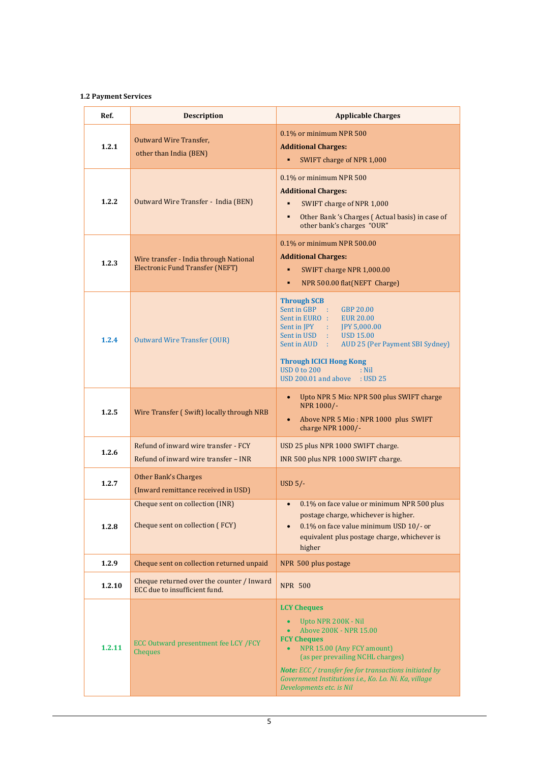#### <span id="page-4-0"></span>**1.2 Payment Services**

| Ref.   | <b>Description</b>                                                               | <b>Applicable Charges</b>                                                                                                                                                                                                                                                                                                      |
|--------|----------------------------------------------------------------------------------|--------------------------------------------------------------------------------------------------------------------------------------------------------------------------------------------------------------------------------------------------------------------------------------------------------------------------------|
| 1.2.1  | <b>Outward Wire Transfer,</b><br>other than India (BEN)                          | 0.1% or minimum NPR 500<br><b>Additional Charges:</b><br>SWIFT charge of NPR 1,000<br>٠                                                                                                                                                                                                                                        |
| 1.2.2  | Outward Wire Transfer - India (BEN)                                              | 0.1% or minimum NPR 500<br><b>Additional Charges:</b><br>SWIFT charge of NPR 1,000<br>Other Bank 's Charges (Actual basis) in case of<br>٠<br>other bank's charges "OUR"                                                                                                                                                       |
| 1.2.3  | Wire transfer - India through National<br><b>Electronic Fund Transfer (NEFT)</b> | 0.1% or minimum NPR 500.00<br><b>Additional Charges:</b><br>SWIFT charge NPR 1,000.00<br>٠<br>NPR 500.00 flat(NEFT Charge)<br>٠                                                                                                                                                                                                |
| 1.2.4  | <b>Outward Wire Transfer (OUR)</b>                                               | <b>Through SCB</b><br>Sent in GBP :<br>GBP 20.00<br>Sent in EURO : EUR 20.00<br>Sent in JPY : JPY 5,000.00<br>Sent in USD : USD 15.00<br>Sent in AUD :<br>AUD 25 (Per Payment SBI Sydney)<br><b>Through ICICI Hong Kong</b><br><b>USD 0 to 200</b><br>$:$ Nil<br>USD 200.01 and above : USD 25                                 |
| 1.2.5  | Wire Transfer (Swift) locally through NRB                                        | Upto NPR 5 Mio: NPR 500 plus SWIFT charge<br>$\bullet$<br>NPR 1000/-<br>Above NPR 5 Mio: NPR 1000 plus SWIFT<br>$\bullet$<br>charge NPR 1000/-                                                                                                                                                                                 |
| 1.2.6  | Refund of inward wire transfer - FCY<br>Refund of inward wire transfer - INR     | USD 25 plus NPR 1000 SWIFT charge.<br>INR 500 plus NPR 1000 SWIFT charge.                                                                                                                                                                                                                                                      |
| 1.2.7  | <b>Other Bank's Charges</b><br>(Inward remittance received in USD)               | USD $5/-$                                                                                                                                                                                                                                                                                                                      |
| 1.2.8  | Cheque sent on collection (INR)<br>Cheque sent on collection (FCY)               | 0.1% on face value or minimum NPR 500 plus<br>$\bullet$<br>postage charge, whichever is higher.<br>0.1% on face value minimum USD 10/- or<br>$\bullet$<br>equivalent plus postage charge, whichever is<br>higher                                                                                                               |
| 1.2.9  | Cheque sent on collection returned unpaid                                        | NPR 500 plus postage                                                                                                                                                                                                                                                                                                           |
| 1.2.10 | Cheque returned over the counter / Inward<br>ECC due to insufficient fund.       | <b>NPR 500</b>                                                                                                                                                                                                                                                                                                                 |
| 1.2.11 | ECC Outward presentment fee LCY /FCY<br>Cheques                                  | <b>LCY Cheques</b><br>Upto NPR 200K - Nil<br><b>Above 200K - NPR 15.00</b><br><b>FCY Cheques</b><br>NPR 15.00 (Any FCY amount)<br>$\bullet$<br>(as per prevailing NCHL charges)<br>Note: ECC / transfer fee for transactions initiated by<br>Government Institutions i.e., Ko. Lo. Ni. Ka, village<br>Developments etc. is Nil |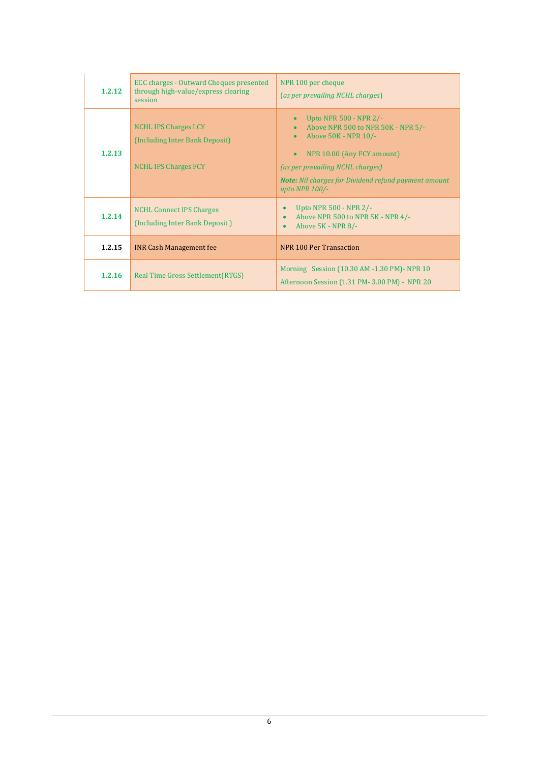| 1.2.12 | <b>ECC charges - Outward Cheques presented</b><br>through high-value/express clearing<br>session | NPR 100 per cheque<br>(as per prevailing NCHL charges)                                                                                                                                                                                  |
|--------|--------------------------------------------------------------------------------------------------|-----------------------------------------------------------------------------------------------------------------------------------------------------------------------------------------------------------------------------------------|
| 1.2.13 | <b>NCHL IPS Charges LCY</b><br>(Including Inter Bank Deposit)<br><b>NCHL IPS Charges FCY</b>     | Upto NPR 500 - NPR 2/-<br>Above NPR 500 to NPR 50K - NPR 5/-<br>Above 50K - NPR 10/-<br>NPR 10.00 (Any FCY amount)<br>(as per prevailing NCHL charges)<br><b>Note:</b> Nil charges for Dividend refund payment amount<br>upto NPR 100/- |
| 1.2.14 | <b>NCHL Connect IPS Charges</b><br>(Including Inter Bank Deposit)                                | Upto NPR 500 - NPR 2/-<br>Above NPR 500 to NPR 5K - NPR 4/-<br>Above 5K - NPR 8/-                                                                                                                                                       |
| 1.2.15 | <b>INR Cash Management fee</b>                                                                   | NPR 100 Per Transaction                                                                                                                                                                                                                 |
| 1.2.16 | Real Time Gross Settlement (RTGS)                                                                | Morning Session (10.30 AM -1.30 PM) - NPR 10<br>Afternoon Session (1.31 PM-3.00 PM) - NPR 20                                                                                                                                            |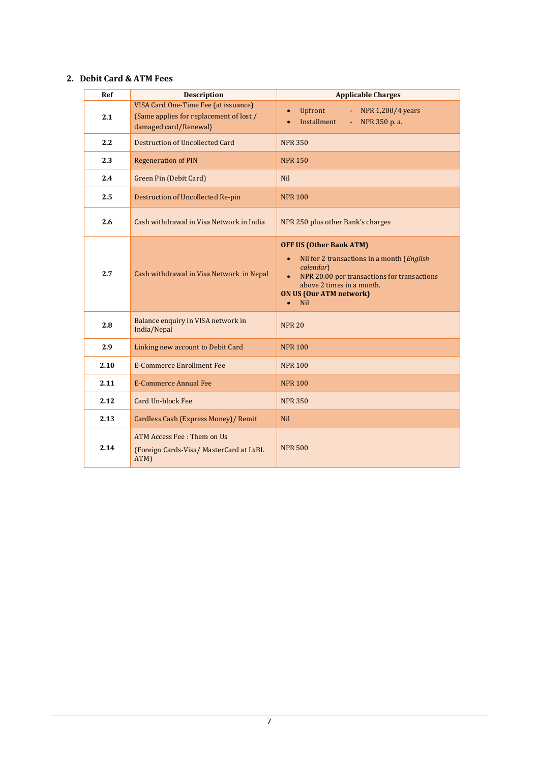# <span id="page-6-0"></span>**2. Debit Card & ATM Fees**

| Ref  | <b>Description</b>                                                                                       | <b>Applicable Charges</b>                                                                                                                                                                                                                                    |
|------|----------------------------------------------------------------------------------------------------------|--------------------------------------------------------------------------------------------------------------------------------------------------------------------------------------------------------------------------------------------------------------|
| 2.1  | VISA Card One-Time Fee (at issuance)<br>{Same applies for replacement of lost /<br>damaged card/Renewal} | Upfront<br>NPR 1,200/4 years<br>ω,<br>$\bullet$<br>Installment<br>NPR 350 p. a.<br>$\omega_{\rm c}$<br>$\bullet$                                                                                                                                             |
| 2.2  | <b>Destruction of Uncollected Card</b>                                                                   | <b>NPR 350</b>                                                                                                                                                                                                                                               |
| 2.3  | <b>Regeneration of PIN</b>                                                                               | <b>NPR 150</b>                                                                                                                                                                                                                                               |
| 2.4  | Green Pin (Debit Card)                                                                                   | <b>Nil</b>                                                                                                                                                                                                                                                   |
| 2.5  | <b>Destruction of Uncollected Re-pin</b>                                                                 | <b>NPR 100</b>                                                                                                                                                                                                                                               |
| 2.6  | Cash withdrawal in Visa Network in India                                                                 | NPR 250 plus other Bank's charges                                                                                                                                                                                                                            |
| 2.7  | Cash withdrawal in Visa Network in Nepal                                                                 | <b>OFF US (Other Bank ATM)</b><br>Nil for 2 transactions in a month (English<br>$\bullet$<br>calendar)<br>NPR 20.00 per transactions for transactions<br>$\bullet$<br>above 2 times in a month.<br><b>ON US (Our ATM network)</b><br><b>Nil</b><br>$\bullet$ |
| 2.8  | Balance enquiry in VISA network in<br>India/Nepal                                                        | <b>NPR 20</b>                                                                                                                                                                                                                                                |
| 2.9  | Linking new account to Debit Card                                                                        | <b>NPR 100</b>                                                                                                                                                                                                                                               |
| 2.10 | <b>E-Commerce Enrollment Fee</b>                                                                         | <b>NPR 100</b>                                                                                                                                                                                                                                               |
| 2.11 | <b>E-Commerce Annual Fee</b>                                                                             | <b>NPR 100</b>                                                                                                                                                                                                                                               |
| 2.12 | <b>Card Un-block Fee</b>                                                                                 | <b>NPR 350</b>                                                                                                                                                                                                                                               |
| 2.13 | Cardless Cash (Express Money)/ Remit                                                                     | <b>Nil</b>                                                                                                                                                                                                                                                   |
| 2.14 | <b>ATM Access Fee: Them on Us</b><br>(Foreign Cards-Visa/ MasterCard at LxBL<br>ATM)                     | <b>NPR 500</b>                                                                                                                                                                                                                                               |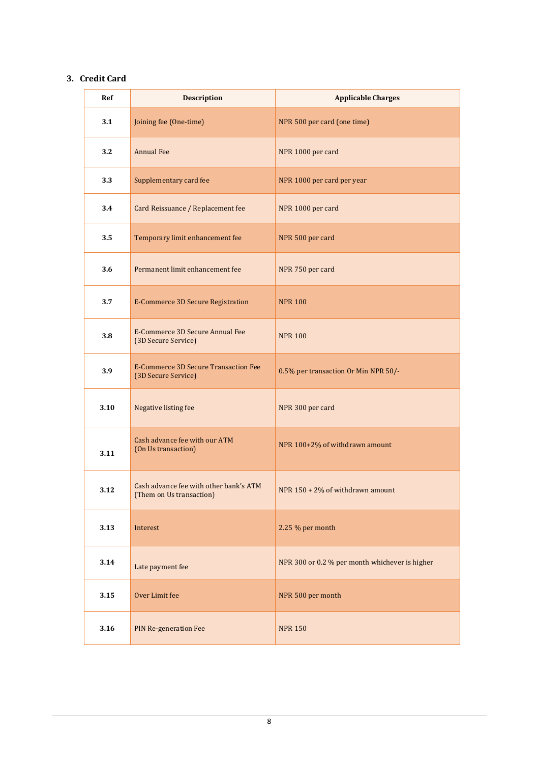## <span id="page-7-0"></span>**3. Credit Card**

| Ref  | <b>Description</b>                                                 | <b>Applicable Charges</b>                      |
|------|--------------------------------------------------------------------|------------------------------------------------|
| 3.1  | Joining fee (One-time)                                             | NPR 500 per card (one time)                    |
| 3.2  | <b>Annual Fee</b>                                                  | NPR 1000 per card                              |
| 3.3  | Supplementary card fee                                             | NPR 1000 per card per year                     |
| 3.4  | Card Reissuance / Replacement fee                                  | NPR 1000 per card                              |
| 3.5  | Temporary limit enhancement fee                                    | NPR 500 per card                               |
| 3.6  | Permanent limit enhancement fee                                    | NPR 750 per card                               |
| 3.7  | <b>E-Commerce 3D Secure Registration</b>                           | <b>NPR 100</b>                                 |
| 3.8  | E-Commerce 3D Secure Annual Fee<br>(3D Secure Service)             | <b>NPR 100</b>                                 |
| 3.9  | <b>E-Commerce 3D Secure Transaction Fee</b><br>(3D Secure Service) | 0.5% per transaction Or Min NPR 50/-           |
| 3.10 | Negative listing fee                                               | NPR 300 per card                               |
| 3.11 | Cash advance fee with our ATM<br>(On Us transaction)               | NPR 100+2% of withdrawn amount                 |
| 3.12 | Cash advance fee with other bank's ATM<br>(Them on Us transaction) | NPR 150 + 2% of withdrawn amount               |
| 3.13 | Interest                                                           | 2.25 % per month                               |
| 3.14 | Late payment fee                                                   | NPR 300 or 0.2 % per month whichever is higher |
| 3.15 | Over Limit fee                                                     | NPR 500 per month                              |
| 3.16 | <b>PIN Re-generation Fee</b>                                       | <b>NPR 150</b>                                 |

8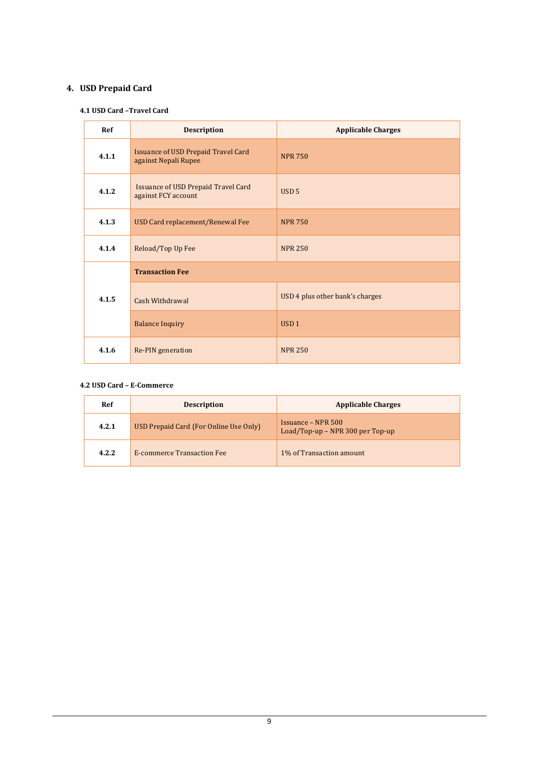# <span id="page-8-1"></span><span id="page-8-0"></span>**4. USD Prepaid Card**

### **4.1 USD Card –Travel Card**

| <b>Ref</b> | <b>Description</b>                                                 | <b>Applicable Charges</b>       |
|------------|--------------------------------------------------------------------|---------------------------------|
| 4.1.1      | <b>Issuance of USD Prepaid Travel Card</b><br>against Nepali Rupee | <b>NPR 750</b>                  |
| 4.1.2      | <b>Issuance of USD Prepaid Travel Card</b><br>against FCY account  | USD <sub>5</sub>                |
| 4.1.3      | USD Card replacement/Renewal Fee                                   | <b>NPR 750</b>                  |
| 4.1.4      | Reload/Top Up Fee                                                  | <b>NPR 250</b>                  |
|            | <b>Transaction Fee</b>                                             |                                 |
| 4.1.5      | <b>Cash Withdrawal</b>                                             | USD 4 plus other bank's charges |
|            | <b>Balance Inquiry</b>                                             | USD <sub>1</sub>                |
| 4.1.6      | Re-PIN generation                                                  | <b>NPR 250</b>                  |

## <span id="page-8-2"></span>**4.2 USD Card – E-Commerce**

| Ref   | <b>Description</b>                     | <b>Applicable Charges</b>                                     |
|-------|----------------------------------------|---------------------------------------------------------------|
| 4.2.1 | USD Prepaid Card (For Online Use Only) | <b>Issuance – NPR 500</b><br>Load/Top-up – NPR 300 per Top-up |
| 4.2.2 | <b>E-commerce Transaction Fee</b>      | 1% of Transaction amount                                      |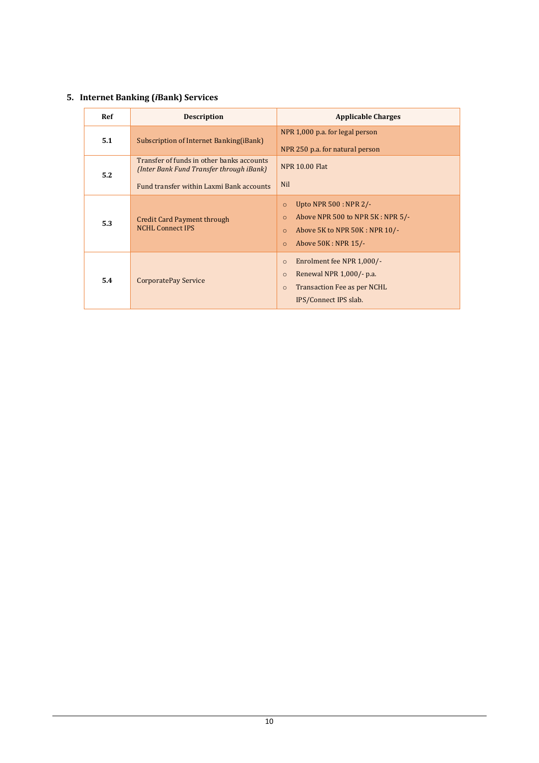# <span id="page-9-0"></span>**5. Internet Banking (***i***Bank) Services**

| Ref | <b>Description</b>                                                                                                                | <b>Applicable Charges</b>                                                                                                                                          |
|-----|-----------------------------------------------------------------------------------------------------------------------------------|--------------------------------------------------------------------------------------------------------------------------------------------------------------------|
| 5.1 | Subscription of Internet Banking(iBank)                                                                                           | NPR 1,000 p.a. for legal person<br>NPR 250 p.a. for natural person                                                                                                 |
| 5.2 | Transfer of funds in other banks accounts<br>(Inter Bank Fund Transfer through iBank)<br>Fund transfer within Laxmi Bank accounts | <b>NPR 10.00 Flat</b><br><b>Nil</b>                                                                                                                                |
| 5.3 | <b>Credit Card Payment through</b><br><b>NCHL Connect IPS</b>                                                                     | Upto NPR $500:$ NPR $2/-$<br>$\circ$<br>Above NPR 500 to NPR 5K: NPR 5/-<br>$\circ$<br>Above 5K to NPR 50K : NPR 10/-<br>$\circ$<br>Above 50K: NPR 15/-<br>$\circ$ |
| 5.4 | CorporatePay Service                                                                                                              | Enrolment fee NPR 1,000/-<br>$\circ$<br>Renewal NPR 1,000/- p.a.<br>$\circ$<br>Transaction Fee as per NCHL<br>$\circ$<br>IPS/Connect IPS slab.                     |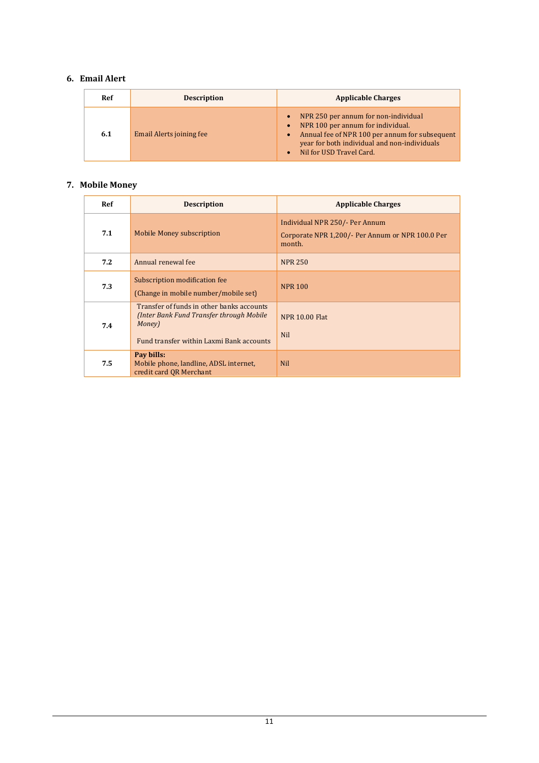# <span id="page-10-0"></span>**6. Email Alert**

| Ref | <b>Description</b>       | <b>Applicable Charges</b>                                                                                                                                                                                                                      |
|-----|--------------------------|------------------------------------------------------------------------------------------------------------------------------------------------------------------------------------------------------------------------------------------------|
| 6.1 | Email Alerts joining fee | NPR 250 per annum for non-individual<br>$\bullet$<br>NPR 100 per annum for individual.<br>$\bullet$<br>Annual fee of NPR 100 per annum for subsequent<br>$\bullet$<br>year for both individual and non-individuals<br>Nil for USD Travel Card. |

# <span id="page-10-1"></span>**7. Mobile Money**

| Ref | <b>Description</b>                                                                                                                          | <b>Applicable Charges</b>                                                                           |
|-----|---------------------------------------------------------------------------------------------------------------------------------------------|-----------------------------------------------------------------------------------------------------|
| 7.1 | <b>Mobile Money subscription</b>                                                                                                            | <b>Individual NPR 250/- Per Annum</b><br>Corporate NPR 1,200/- Per Annum or NPR 100.0 Per<br>month. |
| 7.2 | Annual renewal fee                                                                                                                          | <b>NPR 250</b>                                                                                      |
| 7.3 | Subscription modification fee<br>(Change in mobile number/mobile set)                                                                       | <b>NPR 100</b>                                                                                      |
| 7.4 | Transfer of funds in other banks accounts<br>(Inter Bank Fund Transfer through Mobile<br>Money)<br>Fund transfer within Laxmi Bank accounts | <b>NPR 10.00 Flat</b><br><b>Nil</b>                                                                 |
| 7.5 | Pay bills:<br>Mobile phone, landline, ADSL internet,<br>credit card QR Merchant                                                             | <b>Nil</b>                                                                                          |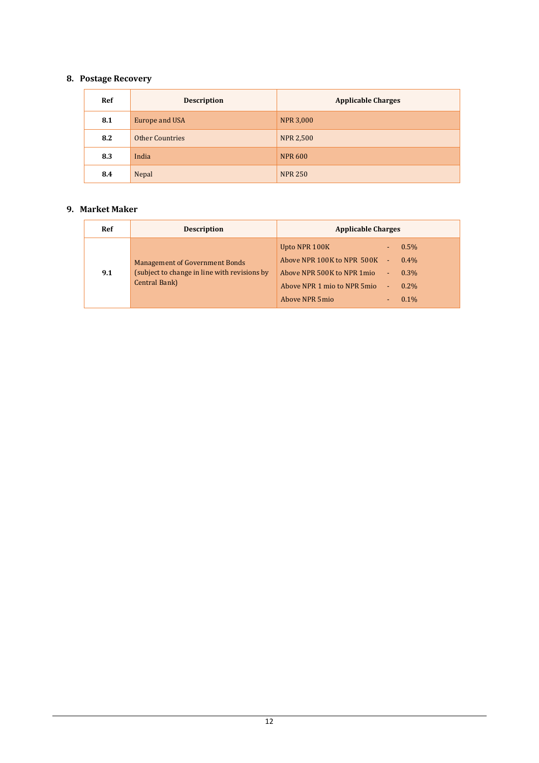# <span id="page-11-0"></span>**8. Postage Recovery**

| <b>Ref</b> | <b>Description</b>     | <b>Applicable Charges</b> |
|------------|------------------------|---------------------------|
| 8.1        | Europe and USA         | <b>NPR 3,000</b>          |
| 8.2        | <b>Other Countries</b> | <b>NPR 2,500</b>          |
| 8.3        | India                  | <b>NPR 600</b>            |
| 8.4        | Nepal                  | <b>NPR 250</b>            |

## <span id="page-11-1"></span>**9. Market Maker**

| Ref | <b>Description</b>                                                                                     | <b>Applicable Charges</b>                                                                                                                                                               |
|-----|--------------------------------------------------------------------------------------------------------|-----------------------------------------------------------------------------------------------------------------------------------------------------------------------------------------|
| 9.1 | <b>Management of Government Bonds</b><br>(subject to change in line with revisions by<br>Central Bank) | Upto NPR 100K<br>$0.5\%$<br>Above NPR 100K to NPR 500K -<br>$0.4\%$<br>Above NPR 500K to NPR 1mio -<br>$0.3\%$<br>Above NPR 1 mio to NPR 5mio -<br>$0.2\%$<br>Above NPR 5mio<br>$0.1\%$ |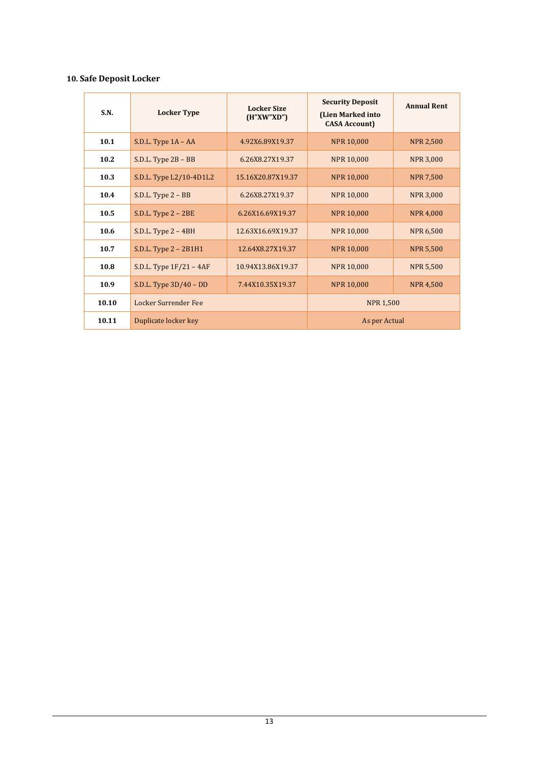# <span id="page-12-0"></span>**10. Safe Deposit Locker**

| <b>S.N.</b> | <b>Locker Type</b>        | <b>Locker Size</b><br>(H''XW''XD'') | <b>Security Deposit</b><br>(Lien Marked into<br><b>CASA Account)</b> | <b>Annual Rent</b> |
|-------------|---------------------------|-------------------------------------|----------------------------------------------------------------------|--------------------|
| 10.1        | S.D.L. Type $1A - AA$     | 4.92X6.89X19.37                     | <b>NPR 10,000</b>                                                    | <b>NPR 2,500</b>   |
| 10.2        | S.D.L. Type $2B - BB$     | 6.26X8.27X19.37                     | <b>NPR 10,000</b>                                                    | <b>NPR 3,000</b>   |
| 10.3        | S.D.L. Type L2/10-4D1L2   | 15.16X20.87X19.37                   | <b>NPR 10,000</b>                                                    | <b>NPR 7,500</b>   |
| 10.4        | S.D.L. Type 2 - BB        | 6.26X8.27X19.37                     | <b>NPR 10,000</b>                                                    | <b>NPR 3,000</b>   |
| 10.5        | $S.D.L. Type 2 - 2BE$     | 6.26X16.69X19.37                    | <b>NPR 10,000</b>                                                    | <b>NPR 4,000</b>   |
| 10.6        | S.D.L. Type $2 - 4BH$     | 12.63X16.69X19.37                   | <b>NPR 10,000</b>                                                    | <b>NPR 6,500</b>   |
| 10.7        | S.D.L. Type $2 - 2B1H1$   | 12.64X8.27X19.37                    | <b>NPR 10,000</b>                                                    | <b>NPR 5.500</b>   |
| 10.8        | S.D.L. Type $1F/21 - 4AF$ | 10.94X13.86X19.37                   | <b>NPR 10,000</b>                                                    | <b>NPR 5,500</b>   |
| 10.9        | S.D.L. Type $3D/40$ – DD  | 7.44X10.35X19.37                    | <b>NPR 10,000</b>                                                    | <b>NPR 4,500</b>   |
| 10.10       | Locker Surrender Fee      |                                     | <b>NPR 1,500</b>                                                     |                    |
| 10.11       | Duplicate locker key      |                                     | As per Actual                                                        |                    |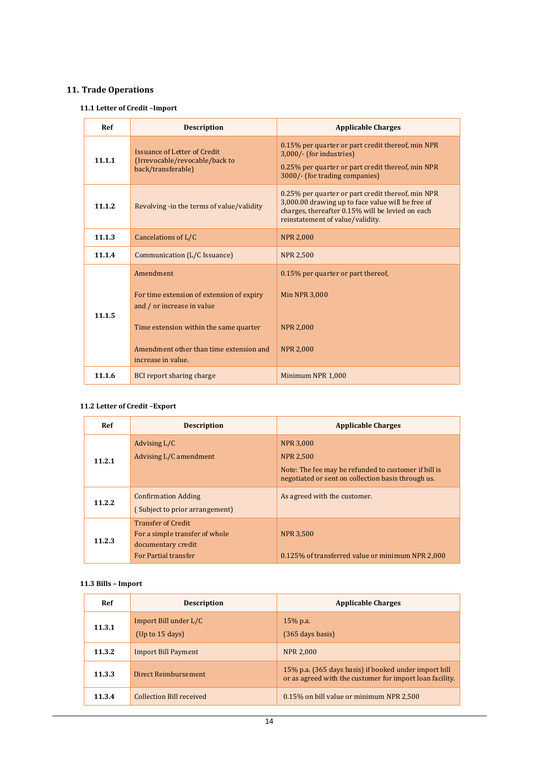# <span id="page-13-1"></span><span id="page-13-0"></span>**11. Trade Operations**

## **11.1 Letter of Credit –Import**

| Ref    | <b>Description</b>                                                                          | <b>Applicable Charges</b>                                                                                                                                                                      |
|--------|---------------------------------------------------------------------------------------------|------------------------------------------------------------------------------------------------------------------------------------------------------------------------------------------------|
| 11.1.1 | <b>Issuance of Letter of Credit</b><br>(Irrevocable/revocable/back to<br>back/transferable) | 0.15% per quarter or part credit thereof, min NPR<br>3,000/- (for industries)<br>0.25% per quarter or part credit thereof, min NPR<br>3000/- (for trading companies)                           |
| 11.1.2 | Revolving -in the terms of value/validity                                                   | 0.25% per quarter or part credit thereof, min NPR<br>3,000.00 drawing up to face value will be free of<br>charges, thereafter 0.15% will be levied on each<br>reinstatement of value/validity. |
| 11.1.3 | Cancelations of L/C                                                                         | <b>NPR 2,000</b>                                                                                                                                                                               |
| 11.1.4 | Communication (L/C Issuance)                                                                | <b>NPR 2,500</b>                                                                                                                                                                               |
|        | Amendment                                                                                   | 0.15% per quarter or part thereof,                                                                                                                                                             |
| 11.1.5 | For time extension of extension of expiry<br>and / or increase in value                     | <b>Min NPR 3,000</b>                                                                                                                                                                           |
|        | Time extension within the same quarter                                                      | <b>NPR 2,000</b>                                                                                                                                                                               |
|        | Amendment other than time extension and<br>increase in value.                               | <b>NPR 2,000</b>                                                                                                                                                                               |
| 11.1.6 | <b>BCI</b> report sharing charge                                                            | Minimum NPR 1,000                                                                                                                                                                              |

# <span id="page-13-2"></span>**11.2 Letter of Credit –Export**

| Ref    | <b>Description</b>                                                                                               | <b>Applicable Charges</b>                                                                                                                          |
|--------|------------------------------------------------------------------------------------------------------------------|----------------------------------------------------------------------------------------------------------------------------------------------------|
| 11.2.1 | Advising L/C<br>Advising L/C amendment                                                                           | <b>NPR 3,000</b><br><b>NPR 2,500</b><br>Note: The fee may be refunded to customer if bill is<br>negotiated or sent on collection basis through us. |
| 11.2.2 | <b>Confirmation Adding</b><br>(Subject to prior arrangement)                                                     | As agreed with the customer.                                                                                                                       |
| 11.2.3 | <b>Transfer of Credit</b><br>For a simple transfer of whole<br>documentary credit<br><b>For Partial transfer</b> | <b>NPR 3,500</b><br>0.125% of transferred value or minimum NPR 2,000                                                                               |

#### <span id="page-13-3"></span>**11.3 Bills – Import**

| Ref    | <b>Description</b>                         | <b>Applicable Charges</b>                                                                                         |
|--------|--------------------------------------------|-------------------------------------------------------------------------------------------------------------------|
| 11.3.1 | Import Bill under L/C<br>(Up to $15$ days) | $15%$ p.a.<br>$(365 \text{ days basis})$                                                                          |
| 11.3.2 | <b>Import Bill Payment</b>                 | <b>NPR 2,000</b>                                                                                                  |
| 11.3.3 | Direct Reimbursement                       | 15% p.a. (365 days basis) if booked under import bill<br>or as agreed with the customer for import loan facility. |
| 11.3.4 | <b>Collection Bill received</b>            | 0.15% on bill value or minimum NPR 2,500                                                                          |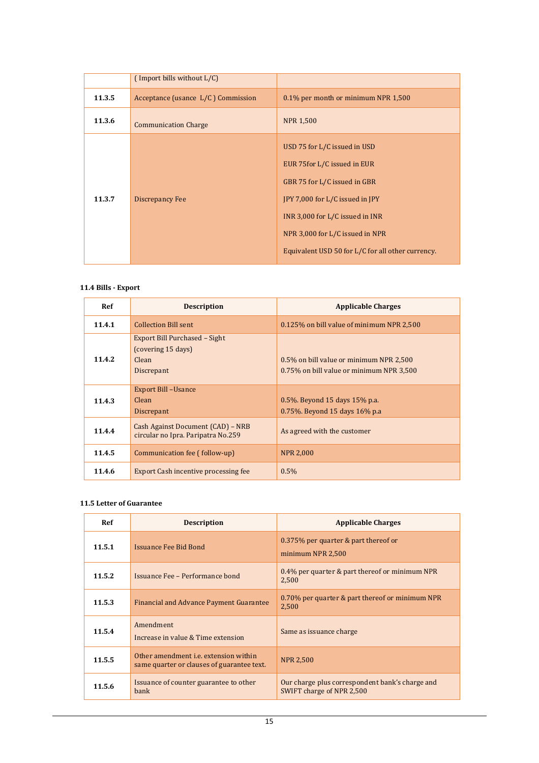|        | (Import bills without L/C)         |                                                                                                                                                                                                                                                            |
|--------|------------------------------------|------------------------------------------------------------------------------------------------------------------------------------------------------------------------------------------------------------------------------------------------------------|
| 11.3.5 | Acceptance (usance L/C) Commission | 0.1% per month or minimum NPR 1,500                                                                                                                                                                                                                        |
| 11.3.6 | <b>Communication Charge</b>        | <b>NPR 1,500</b>                                                                                                                                                                                                                                           |
| 11.3.7 | <b>Discrepancy Fee</b>             | USD 75 for L/C issued in USD<br>EUR 75 for L/C issued in EUR<br>GBR 75 for L/C issued in GBR<br>JPY 7,000 for L/C issued in JPY<br>INR 3,000 for L/C issued in INR<br>NPR 3,000 for L/C issued in NPR<br>Equivalent USD 50 for L/C for all other currency. |

#### <span id="page-14-0"></span>**11.4 Bills - Export**

| Ref    | <b>Description</b>                                                         | <b>Applicable Charges</b>                                                           |
|--------|----------------------------------------------------------------------------|-------------------------------------------------------------------------------------|
| 11.4.1 | <b>Collection Bill sent</b>                                                | 0.125% on bill value of minimum NPR 2,500                                           |
| 11.4.2 | Export Bill Purchased - Sight<br>(covering 15 days)<br>Clean<br>Discrepant | 0.5% on bill value or minimum NPR 2.500<br>0.75% on bill value or minimum NPR 3,500 |
| 11.4.3 | <b>Export Bill -Usance</b><br>Clean<br>Discrepant                          | 0.5%. Beyond 15 days 15% p.a.<br>0.75%. Beyond 15 days 16% p.a.                     |
| 11.4.4 | Cash Against Document (CAD) - NRB<br>circular no Ipra. Paripatra No.259    | As agreed with the customer                                                         |
| 11.4.5 | Communication fee (follow-up)                                              | <b>NPR 2,000</b>                                                                    |
| 11.4.6 | <b>Export Cash incentive processing fee</b>                                | $0.5\%$                                                                             |

### <span id="page-14-1"></span>**11.5 Letter of Guarantee**

| <b>Ref</b> | <b>Description</b>                                                                  | <b>Applicable Charges</b>                                                    |
|------------|-------------------------------------------------------------------------------------|------------------------------------------------------------------------------|
| 11.5.1     | <b>Issuance Fee Bid Bond</b>                                                        | 0.375% per quarter & part thereof or<br>minimum NPR 2,500                    |
| 11.5.2     | Issuance Fee - Performance bond                                                     | 0.4% per quarter & part thereof or minimum NPR<br>2,500                      |
| 11.5.3     | <b>Financial and Advance Payment Guarantee</b>                                      | 0.70% per quarter & part thereof or minimum NPR<br>2,500                     |
| 11.5.4     | Amendment<br>Increase in value & Time extension                                     | Same as issuance charge                                                      |
| 11.5.5     | Other amendment i.e. extension within<br>same quarter or clauses of guarantee text. | <b>NPR 2,500</b>                                                             |
| 11.5.6     | Issuance of counter guarantee to other<br><b>bank</b>                               | Our charge plus correspondent bank's charge and<br>SWIFT charge of NPR 2,500 |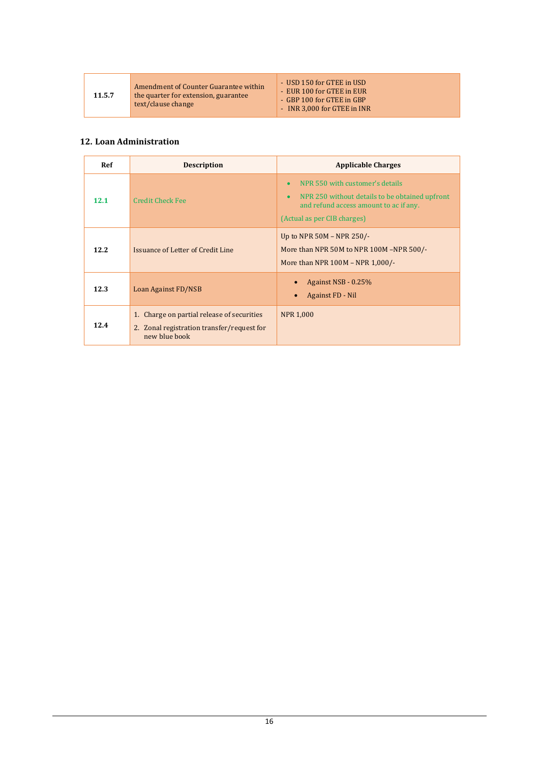Amendment of Counter Guarantee within the quarter for extension, guarantee text/clause change

| - USD 150 for GTEE in USD   |
|-----------------------------|
| - EUR 100 for GTEE in EUR   |
| - GBP 100 for GTEE in GBP   |
| - INR 3,000 for GTEE in INR |

# <span id="page-15-0"></span>**12. Loan Administration**

| <b>Ref</b> | <b>Description</b>                                                                                        | <b>Applicable Charges</b>                                                                                                                                                            |
|------------|-----------------------------------------------------------------------------------------------------------|--------------------------------------------------------------------------------------------------------------------------------------------------------------------------------------|
| 12.1       | <b>Credit Check Fee</b>                                                                                   | NPR 550 with customer's details<br>$\bullet$<br>NPR 250 without details to be obtained upfront<br>$\bullet$<br>and refund access amount to ac if any.<br>(Actual as per CIB charges) |
| 12.2       | Issuance of Letter of Credit Line                                                                         | Up to NPR 50M - NPR 250/-<br>More than NPR 50M to NPR 100M -NPR 500/-<br>More than NPR 100M - NPR 1,000/-                                                                            |
| 12.3       | Loan Against FD/NSB                                                                                       | Against NSB - 0.25%<br>Against FD - Nil                                                                                                                                              |
| 12.4       | 1. Charge on partial release of securities<br>2. Zonal registration transfer/request for<br>new blue book | <b>NPR 1,000</b>                                                                                                                                                                     |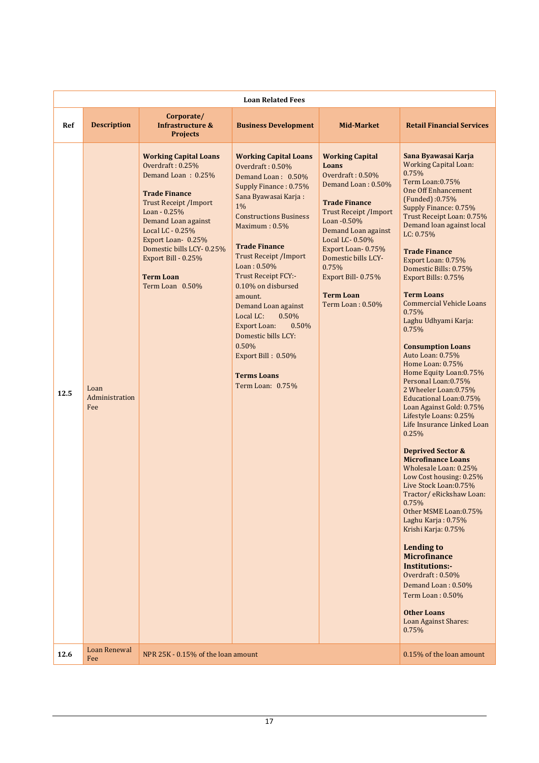|      | <b>Loan Related Fees</b>      |                                                                                                                                                                                                                                                                                                           |                                                                                                                                                                                                                                                                                                                                                                                                                                                                                                 |                                                                                                                                                                                                                                                                                                                      |                                                                                                                                                                                                                                                                                                                                                                                                                                                                                                                                                                                                                                                                                                                                                                                                                                                                                                                                                                                                                                                                                                                                                         |  |  |
|------|-------------------------------|-----------------------------------------------------------------------------------------------------------------------------------------------------------------------------------------------------------------------------------------------------------------------------------------------------------|-------------------------------------------------------------------------------------------------------------------------------------------------------------------------------------------------------------------------------------------------------------------------------------------------------------------------------------------------------------------------------------------------------------------------------------------------------------------------------------------------|----------------------------------------------------------------------------------------------------------------------------------------------------------------------------------------------------------------------------------------------------------------------------------------------------------------------|---------------------------------------------------------------------------------------------------------------------------------------------------------------------------------------------------------------------------------------------------------------------------------------------------------------------------------------------------------------------------------------------------------------------------------------------------------------------------------------------------------------------------------------------------------------------------------------------------------------------------------------------------------------------------------------------------------------------------------------------------------------------------------------------------------------------------------------------------------------------------------------------------------------------------------------------------------------------------------------------------------------------------------------------------------------------------------------------------------------------------------------------------------|--|--|
| Ref  | <b>Description</b>            | Corporate/<br><b>Infrastructure &amp;</b><br><b>Projects</b>                                                                                                                                                                                                                                              | <b>Business Development</b>                                                                                                                                                                                                                                                                                                                                                                                                                                                                     | <b>Mid-Market</b>                                                                                                                                                                                                                                                                                                    | <b>Retail Financial Services</b>                                                                                                                                                                                                                                                                                                                                                                                                                                                                                                                                                                                                                                                                                                                                                                                                                                                                                                                                                                                                                                                                                                                        |  |  |
| 12.5 | Loan<br>Administration<br>Fee | <b>Working Capital Loans</b><br>Overdraft: 0.25%<br>Demand Loan: 0.25%<br><b>Trade Finance</b><br><b>Trust Receipt / Import</b><br>Loan - 0.25%<br>Demand Loan against<br>Local LC - 0.25%<br>Export Loan-0.25%<br>Domestic bills LCY-0.25%<br>Export Bill - 0.25%<br><b>Term Loan</b><br>Term Loan 0.50% | <b>Working Capital Loans</b><br>Overdraft: $0.50\%$<br>Demand Loan: 0.50%<br>Supply Finance: 0.75%<br>Sana Byawasai Karja:<br>1%<br><b>Constructions Business</b><br>Maximum: 0.5%<br><b>Trade Finance</b><br><b>Trust Receipt / Import</b><br>Loan: 0.50%<br>Trust Receipt FCY:-<br>0.10% on disbursed<br>amount.<br>Demand Loan against<br>0.50%<br>Local LC:<br>0.50%<br><b>Export Loan:</b><br>Domestic bills LCY:<br>0.50%<br>Export Bill: 0.50%<br><b>Terms Loans</b><br>Term Loan: 0.75% | <b>Working Capital</b><br><b>Loans</b><br>Overdraft: 0.50%<br>Demand Loan: 0.50%<br><b>Trade Finance</b><br><b>Trust Receipt / Import</b><br>Loan - 0.50%<br>Demand Loan against<br>Local LC-0.50%<br>Export Loan-0.75%<br>Domestic bills LCY-<br>0.75%<br>Export Bill-0.75%<br><b>Term Loan</b><br>Term Loan: 0.50% | Sana Byawasai Karja<br><b>Working Capital Loan:</b><br>0.75%<br>Term Loan:0.75%<br><b>One Off Enhancement</b><br>(Funded):0.75%<br>Supply Finance: 0.75%<br>Trust Receipt Loan: 0.75%<br>Demand loan against local<br>LC: 0.75%<br><b>Trade Finance</b><br>Export Loan: 0.75%<br>Domestic Bills: 0.75%<br>Export Bills: 0.75%<br><b>Term Loans</b><br><b>Commercial Vehicle Loans</b><br>0.75%<br>Laghu Udhyami Karja:<br>0.75%<br><b>Consumption Loans</b><br>Auto Loan: 0.75%<br>Home Loan: 0.75%<br>Home Equity Loan: 0.75%<br>Personal Loan:0.75%<br>2 Wheeler Loan: 0.75%<br>Educational Loan: 0.75%<br>Loan Against Gold: 0.75%<br>Lifestyle Loans: 0.25%<br>Life Insurance Linked Loan<br>0.25%<br><b>Deprived Sector &amp;</b><br><b>Microfinance Loans</b><br>Wholesale Loan: 0.25%<br>Low Cost housing: 0.25%<br>Live Stock Loan: 0.75%<br>Tractor/ eRickshaw Loan:<br>0.75%<br>Other MSME Loan: 0.75%<br>Laghu Karja: 0.75%<br>Krishi Karja: 0.75%<br><b>Lending to</b><br><b>Microfinance</b><br><b>Institutions:-</b><br>Overdraft: 0.50%<br>Demand Loan: 0.50%<br>Term Loan: 0.50%<br><b>Other Loans</b><br>Loan Against Shares:<br>0.75% |  |  |
| 12.6 | <b>Loan Renewal</b><br>Fee    | NPR 25K - 0.15% of the loan amount                                                                                                                                                                                                                                                                        |                                                                                                                                                                                                                                                                                                                                                                                                                                                                                                 |                                                                                                                                                                                                                                                                                                                      | 0.15% of the loan amount                                                                                                                                                                                                                                                                                                                                                                                                                                                                                                                                                                                                                                                                                                                                                                                                                                                                                                                                                                                                                                                                                                                                |  |  |